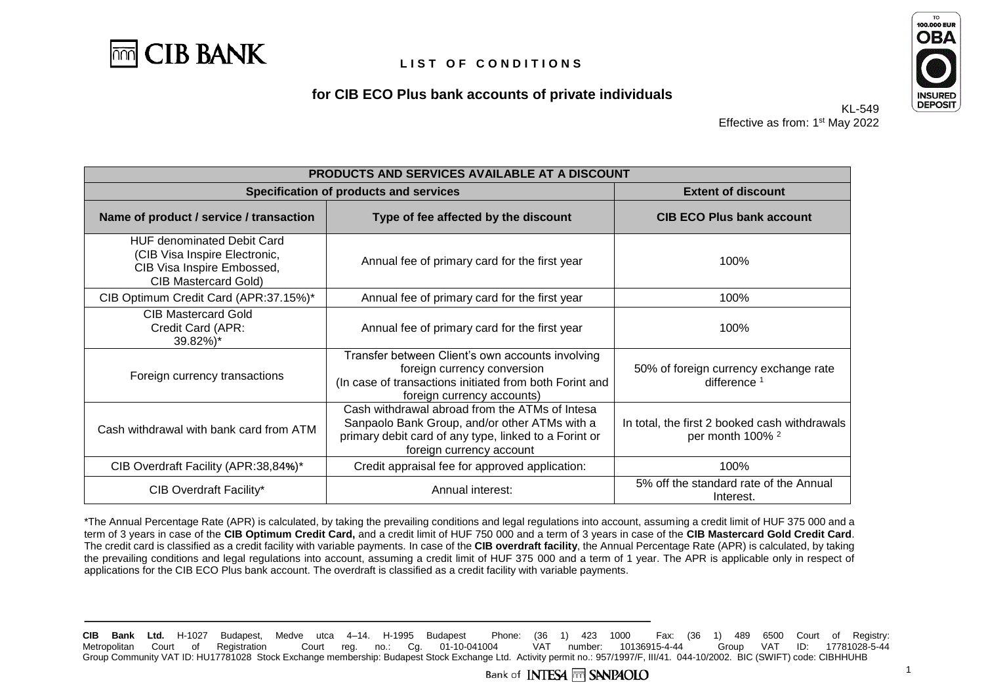

## **for CIB ECO Plus bank accounts of private individuals**



KL-549 Effective as from: 1<sup>st</sup> May 2022

| PRODUCTS AND SERVICES AVAILABLE AT A DISCOUNT                                                                                                                                                                                   |                                                                                                                                                                          |                                                                              |
|---------------------------------------------------------------------------------------------------------------------------------------------------------------------------------------------------------------------------------|--------------------------------------------------------------------------------------------------------------------------------------------------------------------------|------------------------------------------------------------------------------|
| Specification of products and services                                                                                                                                                                                          |                                                                                                                                                                          | <b>Extent of discount</b>                                                    |
| Name of product / service / transaction                                                                                                                                                                                         | Type of fee affected by the discount                                                                                                                                     | <b>CIB ECO Plus bank account</b>                                             |
| <b>HUF denominated Debit Card</b><br>(CIB Visa Inspire Electronic,<br>CIB Visa Inspire Embossed,<br><b>CIB Mastercard Gold)</b>                                                                                                 | Annual fee of primary card for the first year                                                                                                                            | 100%                                                                         |
| CIB Optimum Credit Card (APR:37.15%)*                                                                                                                                                                                           | Annual fee of primary card for the first year                                                                                                                            | 100%                                                                         |
| <b>CIB Mastercard Gold</b><br>Credit Card (APR:<br>39.82%)*                                                                                                                                                                     | Annual fee of primary card for the first year                                                                                                                            | 100%                                                                         |
| Foreign currency transactions                                                                                                                                                                                                   | Transfer between Client's own accounts involving<br>foreign currency conversion<br>(In case of transactions initiated from both Forint and<br>foreign currency accounts) | 50% of foreign currency exchange rate<br>difference <sup>1</sup>             |
| Cash withdrawal abroad from the ATMs of Intesa<br>Sanpaolo Bank Group, and/or other ATMs with a<br>Cash withdrawal with bank card from ATM<br>primary debit card of any type, linked to a Forint or<br>foreign currency account |                                                                                                                                                                          | In total, the first 2 booked cash withdrawals<br>per month 100% <sup>2</sup> |
| CIB Overdraft Facility (APR:38,84%)*                                                                                                                                                                                            | Credit appraisal fee for approved application:                                                                                                                           | 100%                                                                         |
| CIB Overdraft Facility*                                                                                                                                                                                                         | Annual interest:                                                                                                                                                         | 5% off the standard rate of the Annual<br>Interest.                          |

\*The Annual Percentage Rate (APR) is calculated, by taking the prevailing conditions and legal regulations into account, assuming a credit limit of HUF 375 000 and a term of 3 years in case of the **CIB Optimum Credit Card,** and a credit limit of HUF 750 000 and a term of 3 years in case of the **CIB Mastercard Gold Credit Card**. The credit card is classified as a credit facility with variable payments. In case of the **CIB overdraft facility**, the Annual Percentage Rate (APR) is calculated, by taking the prevailing conditions and legal regulations into account, assuming a credit limit of HUF 375 000 and a term of 1 year. The APR is applicable only in respect of applications for the CIB ECO Plus bank account. The overdraft is classified as a credit facility with variable payments.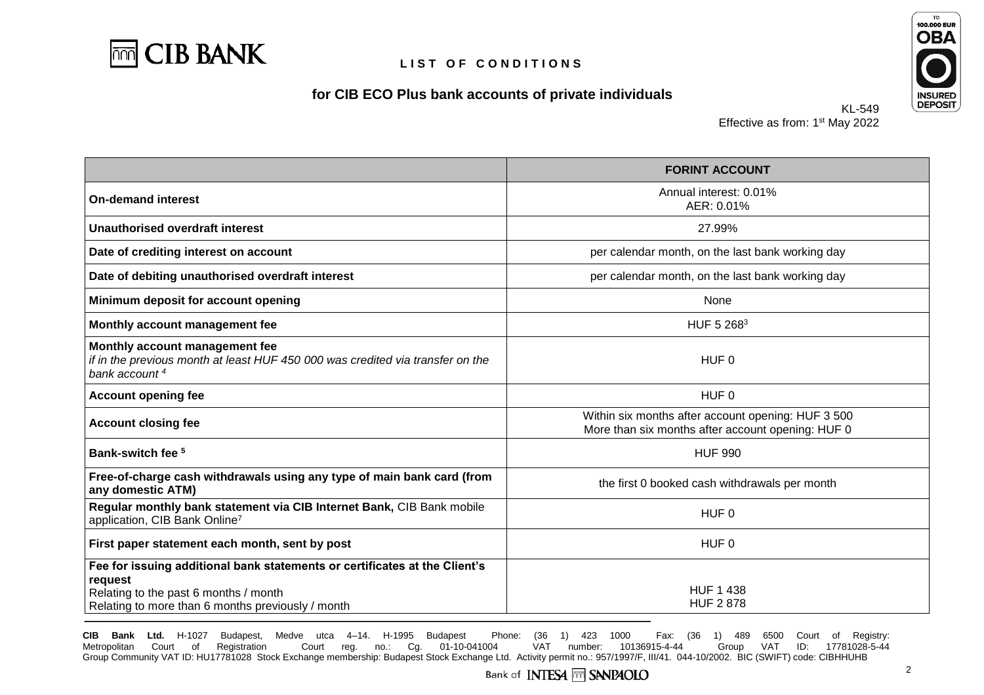

### **for CIB ECO Plus bank accounts of private individuals**



KL-549 Effective as from: 1<sup>st</sup> May 2022

|                                                                                                                                                                                     | <b>FORINT ACCOUNT</b>                                                                                   |
|-------------------------------------------------------------------------------------------------------------------------------------------------------------------------------------|---------------------------------------------------------------------------------------------------------|
| <b>On-demand interest</b>                                                                                                                                                           | Annual interest: 0.01%<br>AER: 0.01%                                                                    |
| Unauthorised overdraft interest                                                                                                                                                     | 27.99%                                                                                                  |
| Date of crediting interest on account                                                                                                                                               | per calendar month, on the last bank working day                                                        |
| Date of debiting unauthorised overdraft interest                                                                                                                                    | per calendar month, on the last bank working day                                                        |
| Minimum deposit for account opening                                                                                                                                                 | None                                                                                                    |
| Monthly account management fee                                                                                                                                                      | HUF 5 2683                                                                                              |
| Monthly account management fee<br>if in the previous month at least HUF 450 000 was credited via transfer on the<br>bank account <sup>4</sup>                                       | HUF <sub>0</sub>                                                                                        |
| <b>Account opening fee</b>                                                                                                                                                          | HUF <sub>0</sub>                                                                                        |
| <b>Account closing fee</b>                                                                                                                                                          | Within six months after account opening: HUF 3 500<br>More than six months after account opening: HUF 0 |
| Bank-switch fee <sup>5</sup>                                                                                                                                                        | <b>HUF 990</b>                                                                                          |
| Free-of-charge cash withdrawals using any type of main bank card (from<br>any domestic ATM)                                                                                         | the first 0 booked cash withdrawals per month                                                           |
| Regular monthly bank statement via CIB Internet Bank, CIB Bank mobile<br>application, CIB Bank Online7                                                                              | HUF <sub>0</sub>                                                                                        |
| First paper statement each month, sent by post                                                                                                                                      | HUF <sub>0</sub>                                                                                        |
| Fee for issuing additional bank statements or certificates at the Client's<br>request<br>Relating to the past 6 months / month<br>Relating to more than 6 months previously / month | <b>HUF 1 438</b><br><b>HUF 2878</b>                                                                     |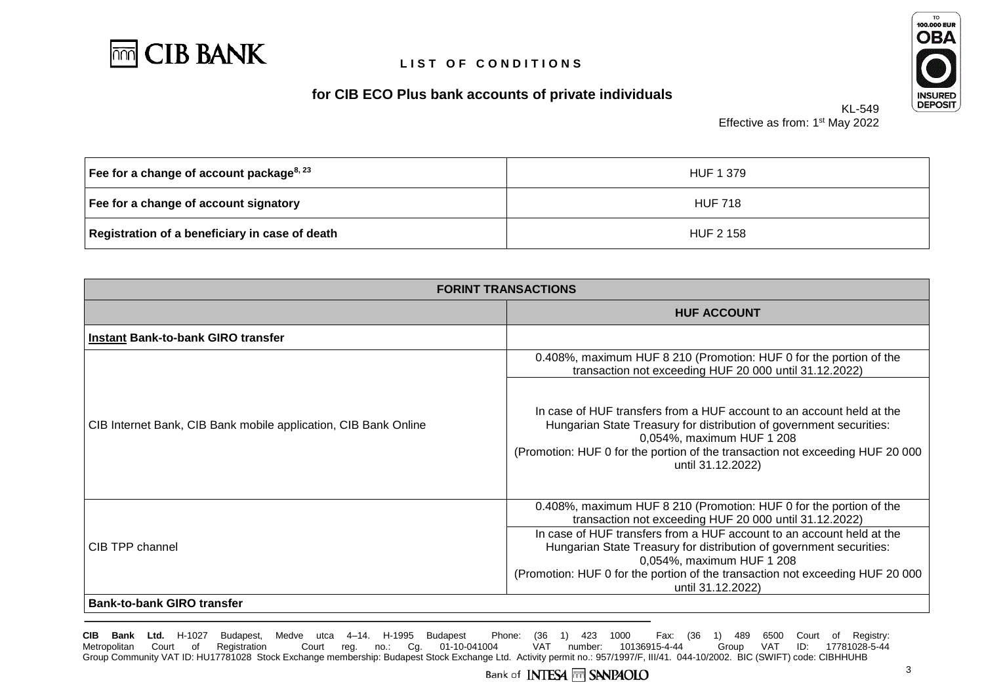

# **for CIB ECO Plus bank accounts of private individuals**



KL-549 Effective as from: 1<sup>st</sup> May 2022

| Fee for a change of account package <sup>8, 23</sup> | HUF 1 379        |
|------------------------------------------------------|------------------|
| Fee for a change of account signatory                | <b>HUF 718</b>   |
| Registration of a beneficiary in case of death       | <b>HUF 2 158</b> |

| <b>FORINT TRANSACTIONS</b>                                      |                                                                                                                                                                                                                                                                                 |
|-----------------------------------------------------------------|---------------------------------------------------------------------------------------------------------------------------------------------------------------------------------------------------------------------------------------------------------------------------------|
|                                                                 | <b>HUF ACCOUNT</b>                                                                                                                                                                                                                                                              |
| <b>Instant Bank-to-bank GIRO transfer</b>                       |                                                                                                                                                                                                                                                                                 |
| CIB Internet Bank, CIB Bank mobile application, CIB Bank Online | 0.408%, maximum HUF 8 210 (Promotion: HUF 0 for the portion of the<br>transaction not exceeding HUF 20 000 until 31.12.2022)                                                                                                                                                    |
|                                                                 | In case of HUF transfers from a HUF account to an account held at the<br>Hungarian State Treasury for distribution of government securities:<br>0,054%, maximum HUF 1 208<br>(Promotion: HUF 0 for the portion of the transaction not exceeding HUF 20 000<br>until 31.12.2022) |
| CIB TPP channel                                                 | 0.408%, maximum HUF 8 210 (Promotion: HUF 0 for the portion of the<br>transaction not exceeding HUF 20 000 until 31.12.2022)                                                                                                                                                    |
|                                                                 | In case of HUF transfers from a HUF account to an account held at the<br>Hungarian State Treasury for distribution of government securities:<br>0,054%, maximum HUF 1 208                                                                                                       |
|                                                                 | (Promotion: HUF 0 for the portion of the transaction not exceeding HUF 20 000<br>until 31.12.2022)                                                                                                                                                                              |
| <b>Bank-to-bank GIRO transfer</b>                               |                                                                                                                                                                                                                                                                                 |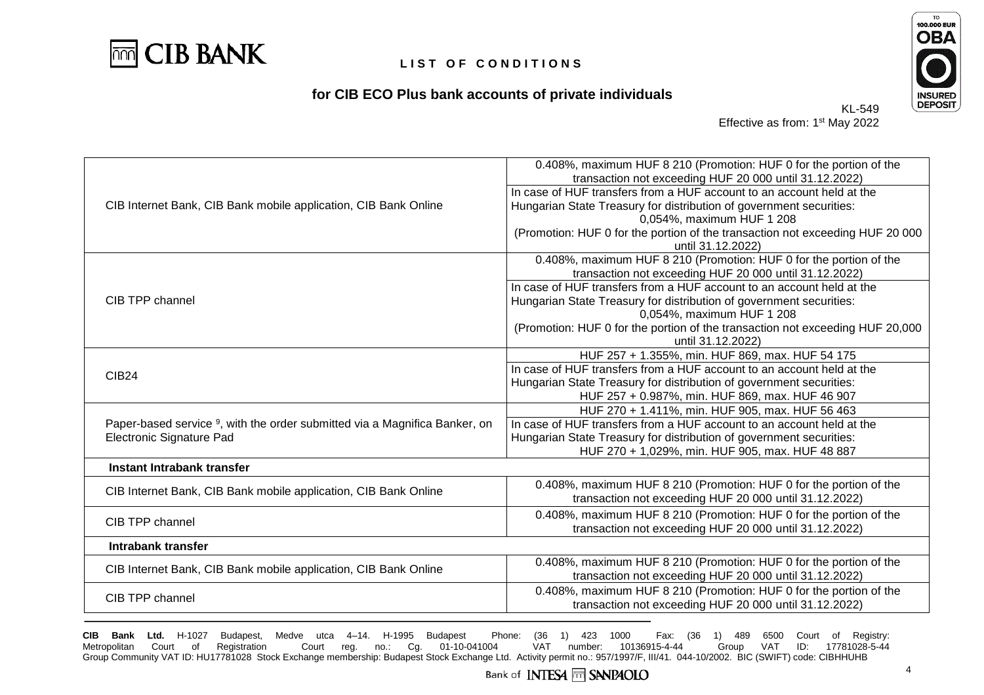

## **for CIB ECO Plus bank accounts of private individuals**



KL-549 Effective as from: 1<sup>st</sup> May 2022

| CIB Internet Bank, CIB Bank mobile application, CIB Bank Online                        | 0.408%, maximum HUF 8 210 (Promotion: HUF 0 for the portion of the                                 |  |
|----------------------------------------------------------------------------------------|----------------------------------------------------------------------------------------------------|--|
|                                                                                        | transaction not exceeding HUF 20 000 until 31.12.2022)                                             |  |
|                                                                                        | In case of HUF transfers from a HUF account to an account held at the                              |  |
|                                                                                        | Hungarian State Treasury for distribution of government securities:                                |  |
|                                                                                        | 0,054%, maximum HUF 1 208                                                                          |  |
|                                                                                        | (Promotion: HUF 0 for the portion of the transaction not exceeding HUF 20 000<br>until 31.12.2022) |  |
|                                                                                        | 0.408%, maximum HUF 8 210 (Promotion: HUF 0 for the portion of the                                 |  |
|                                                                                        | transaction not exceeding HUF 20 000 until 31.12.2022)                                             |  |
|                                                                                        | In case of HUF transfers from a HUF account to an account held at the                              |  |
| CIB TPP channel                                                                        | Hungarian State Treasury for distribution of government securities:                                |  |
|                                                                                        | 0,054%, maximum HUF 1 208                                                                          |  |
|                                                                                        | (Promotion: HUF 0 for the portion of the transaction not exceeding HUF 20,000)                     |  |
|                                                                                        | until 31.12.2022)                                                                                  |  |
|                                                                                        | HUF 257 + 1.355%, min. HUF 869, max. HUF 54 175                                                    |  |
| <b>CIB24</b>                                                                           | In case of HUF transfers from a HUF account to an account held at the                              |  |
|                                                                                        | Hungarian State Treasury for distribution of government securities:                                |  |
|                                                                                        | HUF 257 + 0.987%, min. HUF 869, max. HUF 46 907                                                    |  |
|                                                                                        | HUF 270 + 1.411%, min. HUF 905, max. HUF 56 463                                                    |  |
| Paper-based service <sup>9</sup> , with the order submitted via a Magnifica Banker, on | In case of HUF transfers from a HUF account to an account held at the                              |  |
| Electronic Signature Pad                                                               | Hungarian State Treasury for distribution of government securities:                                |  |
|                                                                                        | HUF 270 + 1,029%, min. HUF 905, max. HUF 48 887                                                    |  |
| Instant Intrabank transfer                                                             |                                                                                                    |  |
| CIB Internet Bank, CIB Bank mobile application, CIB Bank Online                        | 0.408%, maximum HUF 8 210 (Promotion: HUF 0 for the portion of the                                 |  |
|                                                                                        | transaction not exceeding HUF 20 000 until 31.12.2022)                                             |  |
|                                                                                        | 0.408%, maximum HUF 8 210 (Promotion: HUF 0 for the portion of the                                 |  |
| CIB TPP channel                                                                        | transaction not exceeding HUF 20 000 until 31.12.2022)                                             |  |
| Intrabank transfer                                                                     |                                                                                                    |  |
| CIB Internet Bank, CIB Bank mobile application, CIB Bank Online                        | 0.408%, maximum HUF 8 210 (Promotion: HUF 0 for the portion of the                                 |  |
|                                                                                        | transaction not exceeding HUF 20 000 until 31.12.2022)                                             |  |
| CIB TPP channel                                                                        | 0.408%, maximum HUF 8 210 (Promotion: HUF 0 for the portion of the                                 |  |
|                                                                                        | transaction not exceeding HUF 20 000 until 31.12.2022)                                             |  |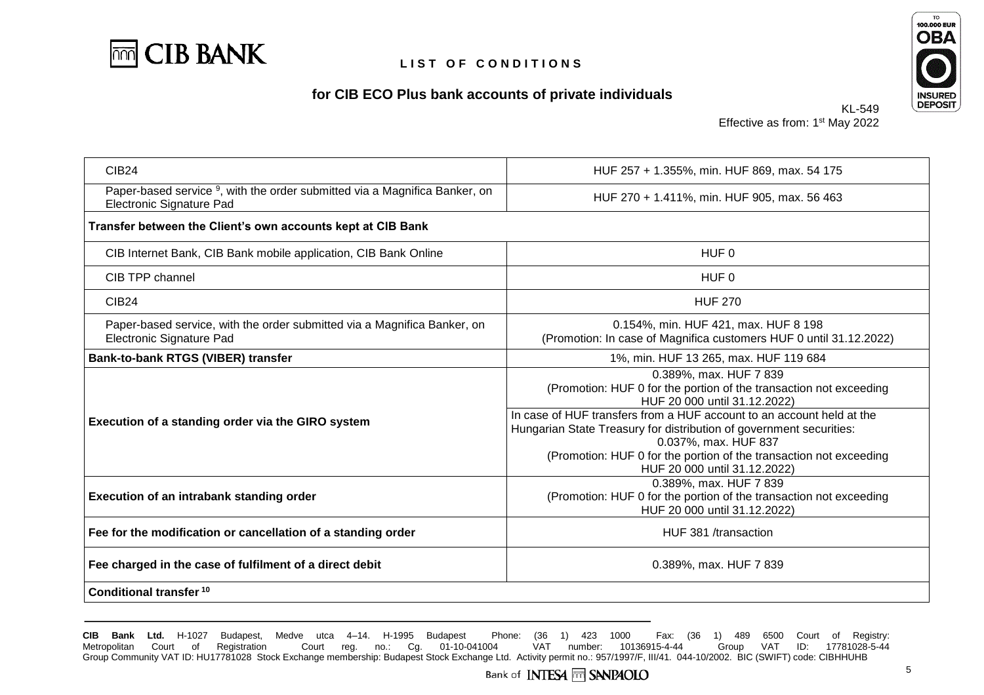





KL-549 Effective as from: 1<sup>st</sup> May 2022

| CIB <sub>24</sub>                                                                                                  | HUF 257 + 1.355%, min. HUF 869, max. 54 175                                                                                                                                                                                                                                                                                                                                                                |
|--------------------------------------------------------------------------------------------------------------------|------------------------------------------------------------------------------------------------------------------------------------------------------------------------------------------------------------------------------------------------------------------------------------------------------------------------------------------------------------------------------------------------------------|
| Paper-based service <sup>9</sup> , with the order submitted via a Magnifica Banker, on<br>Electronic Signature Pad | HUF 270 + 1.411%, min. HUF 905, max. 56 463                                                                                                                                                                                                                                                                                                                                                                |
| Transfer between the Client's own accounts kept at CIB Bank                                                        |                                                                                                                                                                                                                                                                                                                                                                                                            |
| CIB Internet Bank, CIB Bank mobile application, CIB Bank Online                                                    | HUF <sub>0</sub>                                                                                                                                                                                                                                                                                                                                                                                           |
| CIB TPP channel                                                                                                    | HUF <sub>0</sub>                                                                                                                                                                                                                                                                                                                                                                                           |
| <b>CIB24</b>                                                                                                       | <b>HUF 270</b>                                                                                                                                                                                                                                                                                                                                                                                             |
| Paper-based service, with the order submitted via a Magnifica Banker, on<br><b>Electronic Signature Pad</b>        | 0.154%, min. HUF 421, max. HUF 8 198<br>(Promotion: In case of Magnifica customers HUF 0 until 31.12.2022)                                                                                                                                                                                                                                                                                                 |
| Bank-to-bank RTGS (VIBER) transfer                                                                                 | 1%, min. HUF 13 265, max. HUF 119 684                                                                                                                                                                                                                                                                                                                                                                      |
| Execution of a standing order via the GIRO system                                                                  | 0.389%, max. HUF 7 839<br>(Promotion: HUF 0 for the portion of the transaction not exceeding<br>HUF 20 000 until 31.12.2022)<br>In case of HUF transfers from a HUF account to an account held at the<br>Hungarian State Treasury for distribution of government securities:<br>0.037%, max. HUF 837<br>(Promotion: HUF 0 for the portion of the transaction not exceeding<br>HUF 20 000 until 31.12.2022) |
| Execution of an intrabank standing order                                                                           | 0.389%, max. HUF 7 839<br>(Promotion: HUF 0 for the portion of the transaction not exceeding<br>HUF 20 000 until 31.12.2022)                                                                                                                                                                                                                                                                               |
| Fee for the modification or cancellation of a standing order                                                       | HUF 381 /transaction                                                                                                                                                                                                                                                                                                                                                                                       |
| Fee charged in the case of fulfilment of a direct debit                                                            | 0.389%, max. HUF 7 839                                                                                                                                                                                                                                                                                                                                                                                     |
| Conditional transfer <sup>10</sup>                                                                                 |                                                                                                                                                                                                                                                                                                                                                                                                            |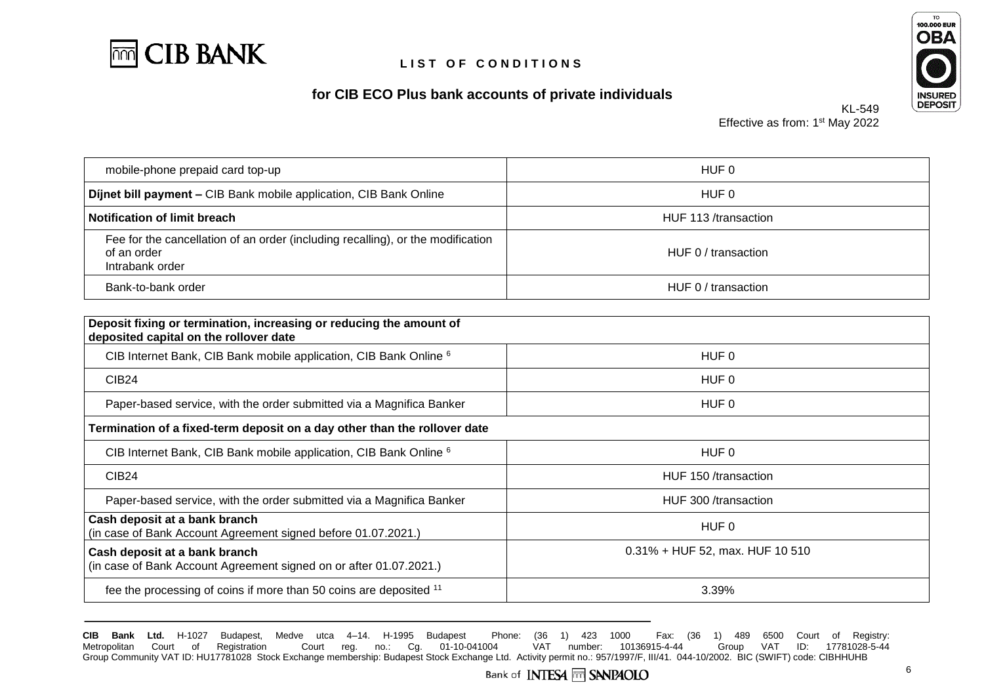





KL-549 Effective as from: 1<sup>st</sup> May 2022

| mobile-phone prepaid card top-up                                                                                  | HUF 0                |
|-------------------------------------------------------------------------------------------------------------------|----------------------|
| Dijnet bill payment - CIB Bank mobile application, CIB Bank Online                                                | HUF 0                |
| <b>Notification of limit breach</b>                                                                               | HUF 113 /transaction |
| Fee for the cancellation of an order (including recalling), or the modification<br>of an order<br>Intrabank order | HUF 0 / transaction  |
| Bank-to-bank order                                                                                                | HUF 0 / transaction  |

| Deposit fixing or termination, increasing or reducing the amount of<br>deposited capital on the rollover date |                                    |
|---------------------------------------------------------------------------------------------------------------|------------------------------------|
| CIB Internet Bank, CIB Bank mobile application, CIB Bank Online 6                                             | HUF 0                              |
| CIB <sub>24</sub>                                                                                             | HUF 0                              |
| Paper-based service, with the order submitted via a Magnifica Banker                                          | HUF 0                              |
| Termination of a fixed-term deposit on a day other than the rollover date                                     |                                    |
| CIB Internet Bank, CIB Bank mobile application, CIB Bank Online 6                                             | HUF 0                              |
| CIB <sub>24</sub>                                                                                             | HUF 150 /transaction               |
| Paper-based service, with the order submitted via a Magnifica Banker                                          | HUF 300 /transaction               |
| Cash deposit at a bank branch<br>(in case of Bank Account Agreement signed before 01.07.2021.)                | HUF 0                              |
| Cash deposit at a bank branch<br>(in case of Bank Account Agreement signed on or after 01.07.2021.)           | $0.31\% + HUF$ 52, max. HUF 10 510 |
| fee the processing of coins if more than 50 coins are deposited 11                                            | 3.39%                              |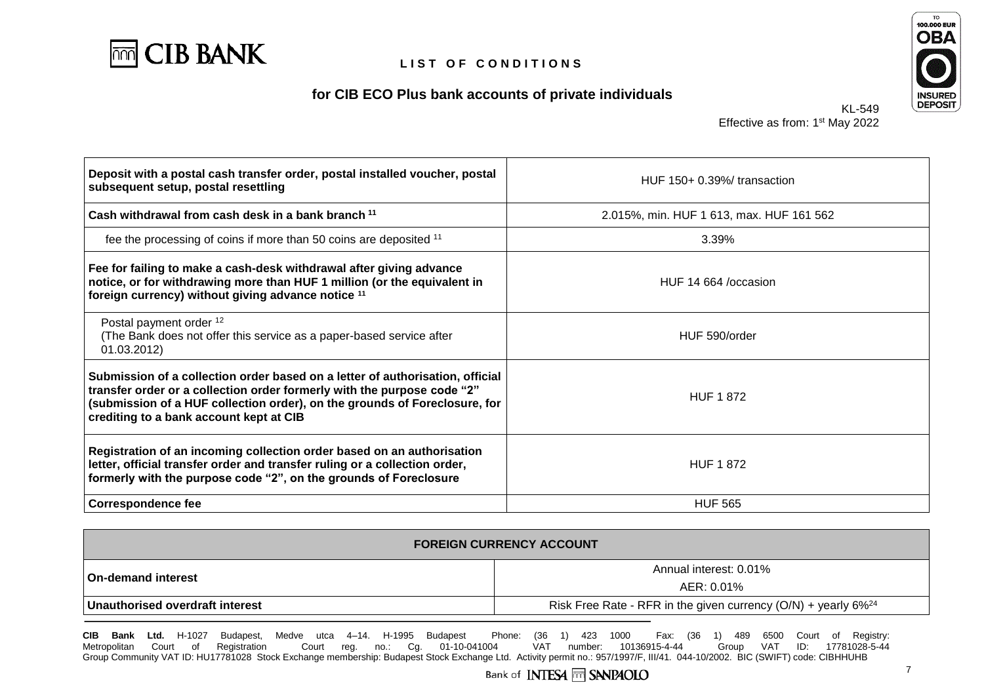





KL-549 Effective as from: 1<sup>st</sup> May 2022

| Deposit with a postal cash transfer order, postal installed voucher, postal<br>subsequent setup, postal resettling                                                                                                                                                                | $HUF 150+0.39%$ transaction              |
|-----------------------------------------------------------------------------------------------------------------------------------------------------------------------------------------------------------------------------------------------------------------------------------|------------------------------------------|
| Cash withdrawal from cash desk in a bank branch <sup>11</sup>                                                                                                                                                                                                                     | 2.015%, min. HUF 1 613, max. HUF 161 562 |
| fee the processing of coins if more than 50 coins are deposited 11                                                                                                                                                                                                                | 3.39%                                    |
| Fee for failing to make a cash-desk withdrawal after giving advance<br>notice, or for withdrawing more than HUF 1 million (or the equivalent in<br>foreign currency) without giving advance notice 11                                                                             | HUF 14 664 /occasion                     |
| Postal payment order 12<br>(The Bank does not offer this service as a paper-based service after<br>01.03.2012)                                                                                                                                                                    | HUF 590/order                            |
| Submission of a collection order based on a letter of authorisation, official<br>transfer order or a collection order formerly with the purpose code "2"<br>(submission of a HUF collection order), on the grounds of Foreclosure, for<br>crediting to a bank account kept at CIB | <b>HUF 1872</b>                          |
| Registration of an incoming collection order based on an authorisation<br>letter, official transfer order and transfer ruling or a collection order,<br>formerly with the purpose code "2", on the grounds of Foreclosure                                                         | <b>HUF 1872</b>                          |
| <b>Correspondence fee</b>                                                                                                                                                                                                                                                         | <b>HUF 565</b>                           |

| <b>FOREIGN CURRENCY ACCOUNT</b> |                                                                              |
|---------------------------------|------------------------------------------------------------------------------|
| <b>On-demand interest</b>       | Annual interest: 0.01%                                                       |
|                                 | AER: 0.01%                                                                   |
| Unauthorised overdraft interest | Risk Free Rate - RFR in the given currency $(O/N)$ + yearly 6% <sup>24</sup> |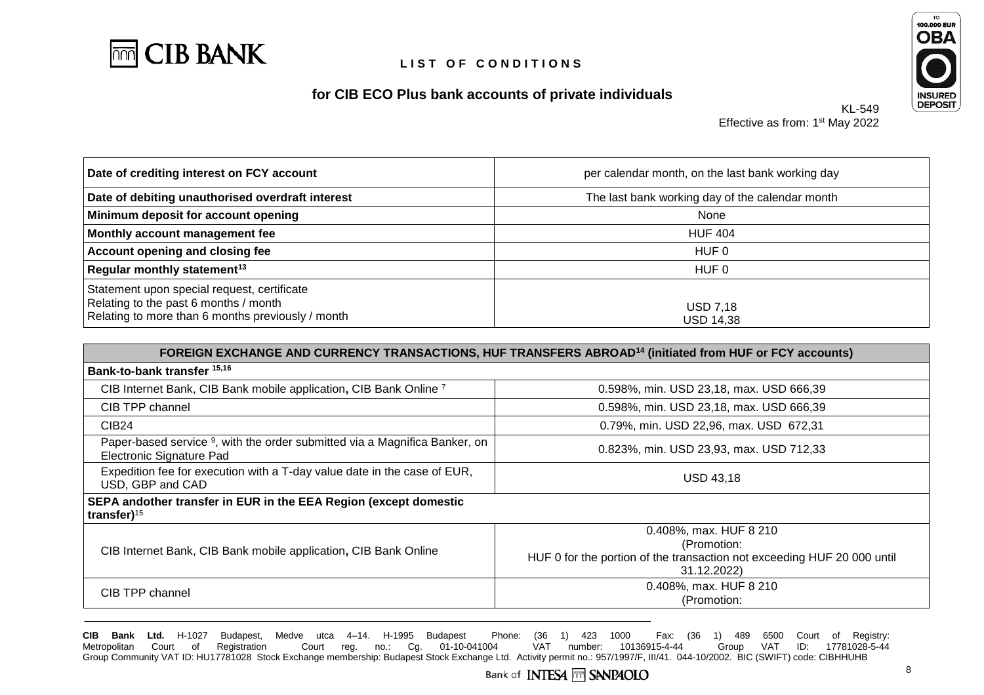

## **for CIB ECO Plus bank accounts of private individuals**



Effective as from: 1<sup>st</sup> May 2022

KL-549

| Date of crediting interest on FCY account                                                                                                 | per calendar month, on the last bank working day |
|-------------------------------------------------------------------------------------------------------------------------------------------|--------------------------------------------------|
| Date of debiting unauthorised overdraft interest                                                                                          | The last bank working day of the calendar month  |
| Minimum deposit for account opening                                                                                                       | None                                             |
| Monthly account management fee                                                                                                            | <b>HUF 404</b>                                   |
| <b>Account opening and closing fee</b>                                                                                                    | HUF 0                                            |
| Regular monthly statement <sup>13</sup>                                                                                                   | HUF 0                                            |
| Statement upon special request, certificate<br>Relating to the past 6 months / month<br>Relating to more than 6 months previously / month | <b>USD 7,18</b><br><b>USD 14,38</b>              |

| FOREIGN EXCHANGE AND CURRENCY TRANSACTIONS, HUF TRANSFERS ABROAD <sup>14</sup> (initiated from HUF or FCY accounts) |                                                                                                                                 |
|---------------------------------------------------------------------------------------------------------------------|---------------------------------------------------------------------------------------------------------------------------------|
| Bank-to-bank transfer 15,16                                                                                         |                                                                                                                                 |
| CIB Internet Bank, CIB Bank mobile application, CIB Bank Online 7                                                   | 0.598%, min. USD 23,18, max. USD 666,39                                                                                         |
| CIB TPP channel                                                                                                     | 0.598%, min. USD 23,18, max. USD 666,39                                                                                         |
| <b>CIB24</b>                                                                                                        | 0.79%, min. USD 22,96, max. USD 672,31                                                                                          |
| Paper-based service <sup>9</sup> , with the order submitted via a Magnifica Banker, on<br>Electronic Signature Pad  | 0.823%, min. USD 23,93, max. USD 712,33                                                                                         |
| Expedition fee for execution with a T-day value date in the case of EUR,<br>USD, GBP and CAD                        | <b>USD 43.18</b>                                                                                                                |
| SEPA andother transfer in EUR in the EEA Region (except domestic<br>transfer $)^{15}$                               |                                                                                                                                 |
| CIB Internet Bank, CIB Bank mobile application, CIB Bank Online                                                     | 0.408%, max. HUF 8 210<br>(Promotion:<br>HUF 0 for the portion of the transaction not exceeding HUF 20 000 until<br>31.12.2022) |
| CIB TPP channel                                                                                                     | 0.408%, max. HUF 8 210<br>(Promotion:                                                                                           |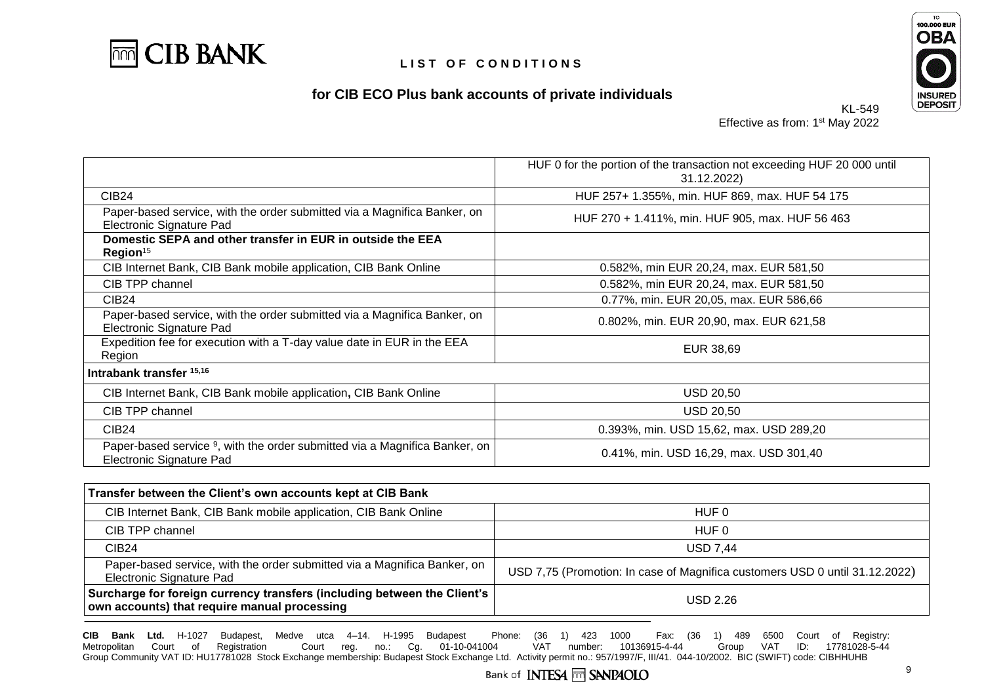

# **for CIB ECO Plus bank accounts of private individuals**



KL-549 Effective as from: 1<sup>st</sup> May 2022

|                                                                                                                    | HUF 0 for the portion of the transaction not exceeding HUF 20 000 until<br>31.12.2022) |
|--------------------------------------------------------------------------------------------------------------------|----------------------------------------------------------------------------------------|
| <b>CIB24</b>                                                                                                       | HUF 257+ 1.355%, min. HUF 869, max. HUF 54 175                                         |
| Paper-based service, with the order submitted via a Magnifica Banker, on<br>Electronic Signature Pad               | HUF 270 + 1.411%, min. HUF 905, max. HUF 56 463                                        |
| Domestic SEPA and other transfer in EUR in outside the EEA<br>Region <sup>15</sup>                                 |                                                                                        |
| CIB Internet Bank, CIB Bank mobile application, CIB Bank Online                                                    | 0.582%, min EUR 20,24, max. EUR 581,50                                                 |
| CIB TPP channel                                                                                                    | 0.582%, min EUR 20,24, max. EUR 581,50                                                 |
| CIB <sub>24</sub>                                                                                                  | 0.77%, min. EUR 20,05, max. EUR 586,66                                                 |
| Paper-based service, with the order submitted via a Magnifica Banker, on<br>Electronic Signature Pad               | 0.802%, min. EUR 20,90, max. EUR 621,58                                                |
| Expedition fee for execution with a T-day value date in EUR in the EEA<br>Region                                   | EUR 38,69                                                                              |
| Intrabank transfer 15,16                                                                                           |                                                                                        |
| CIB Internet Bank, CIB Bank mobile application, CIB Bank Online                                                    | <b>USD 20,50</b>                                                                       |
| CIB TPP channel                                                                                                    | <b>USD 20,50</b>                                                                       |
| <b>CIB24</b>                                                                                                       | 0.393%, min. USD 15,62, max. USD 289,20                                                |
| Paper-based service <sup>9</sup> , with the order submitted via a Magnifica Banker, on<br>Electronic Signature Pad | 0.41%, min. USD 16,29, max. USD 301,40                                                 |
|                                                                                                                    |                                                                                        |

| Transfer between the Client's own accounts kept at CIB Bank                                                              |                                                                             |
|--------------------------------------------------------------------------------------------------------------------------|-----------------------------------------------------------------------------|
| CIB Internet Bank, CIB Bank mobile application, CIB Bank Online                                                          | HUF 0                                                                       |
| CIB TPP channel                                                                                                          | HUF 0                                                                       |
| CIB <sub>24</sub>                                                                                                        | <b>USD 7.44</b>                                                             |
| Paper-based service, with the order submitted via a Magnifica Banker, on<br>Electronic Signature Pad                     | USD 7,75 (Promotion: In case of Magnifica customers USD 0 until 31.12.2022) |
| Surcharge for foreign currency transfers (including between the Client's<br>own accounts) that require manual processing | <b>USD 2.26</b>                                                             |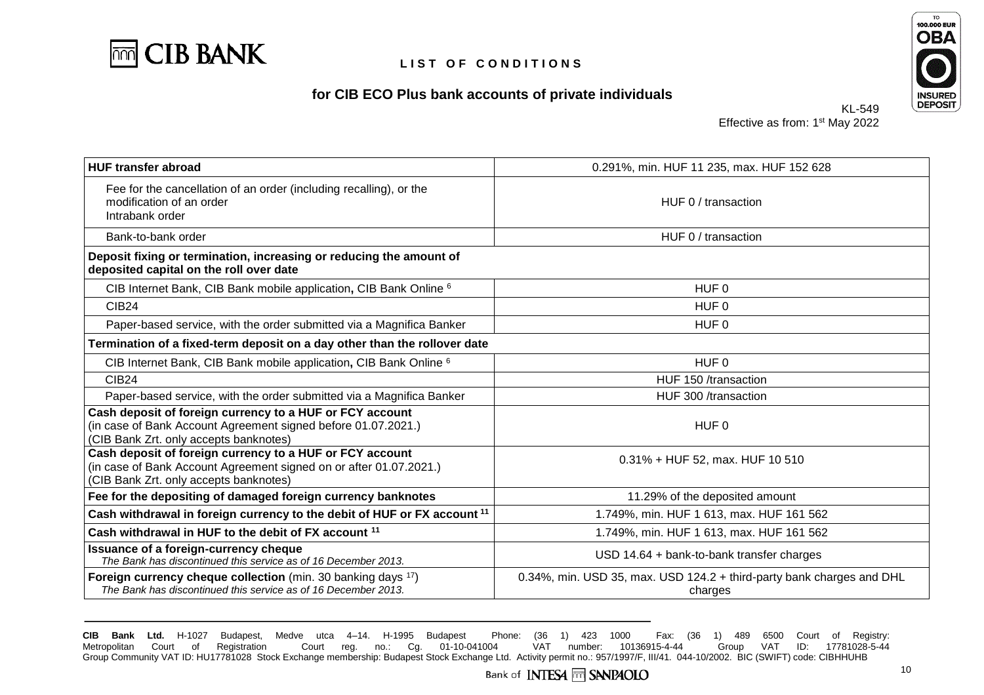





KL-549 Effective as from: 1<sup>st</sup> May 2022

| <b>HUF transfer abroad</b>                                                                                                                                               | 0.291%, min. HUF 11 235, max. HUF 152 628                                        |  |  |
|--------------------------------------------------------------------------------------------------------------------------------------------------------------------------|----------------------------------------------------------------------------------|--|--|
| Fee for the cancellation of an order (including recalling), or the<br>modification of an order<br>Intrabank order                                                        | HUF 0 / transaction                                                              |  |  |
| Bank-to-bank order                                                                                                                                                       | HUF 0 / transaction                                                              |  |  |
| Deposit fixing or termination, increasing or reducing the amount of<br>deposited capital on the roll over date                                                           |                                                                                  |  |  |
| CIB Internet Bank, CIB Bank mobile application, CIB Bank Online 6                                                                                                        | HUF <sub>0</sub>                                                                 |  |  |
| <b>CIB24</b>                                                                                                                                                             | HUF 0                                                                            |  |  |
| Paper-based service, with the order submitted via a Magnifica Banker                                                                                                     | HUF 0                                                                            |  |  |
| Termination of a fixed-term deposit on a day other than the rollover date                                                                                                |                                                                                  |  |  |
| CIB Internet Bank, CIB Bank mobile application, CIB Bank Online 6                                                                                                        | HUF 0                                                                            |  |  |
| <b>CIB24</b>                                                                                                                                                             | HUF 150 /transaction                                                             |  |  |
| Paper-based service, with the order submitted via a Magnifica Banker                                                                                                     | HUF 300 /transaction                                                             |  |  |
| Cash deposit of foreign currency to a HUF or FCY account<br>(in case of Bank Account Agreement signed before 01.07.2021.)<br>(CIB Bank Zrt. only accepts banknotes)      | HUF 0                                                                            |  |  |
| Cash deposit of foreign currency to a HUF or FCY account<br>(in case of Bank Account Agreement signed on or after 01.07.2021.)<br>(CIB Bank Zrt. only accepts banknotes) | $0.31\% + HUF 52$ , max. HUF 10 510                                              |  |  |
| Fee for the depositing of damaged foreign currency banknotes                                                                                                             | 11.29% of the deposited amount                                                   |  |  |
| Cash withdrawal in foreign currency to the debit of HUF or FX account <sup>11</sup>                                                                                      | 1.749%, min. HUF 1 613, max. HUF 161 562                                         |  |  |
| Cash withdrawal in HUF to the debit of FX account <sup>11</sup>                                                                                                          | 1.749%, min. HUF 1 613, max. HUF 161 562                                         |  |  |
| Issuance of a foreign-currency cheque<br>The Bank has discontinued this service as of 16 December 2013.                                                                  | $USD$ 14.64 + bank-to-bank transfer charges                                      |  |  |
| <b>Foreign currency cheque collection</b> (min. 30 banking days <sup>17</sup> )<br>The Bank has discontinued this service as of 16 December 2013.                        | 0.34%, min. USD 35, max. USD 124.2 + third-party bank charges and DHL<br>charges |  |  |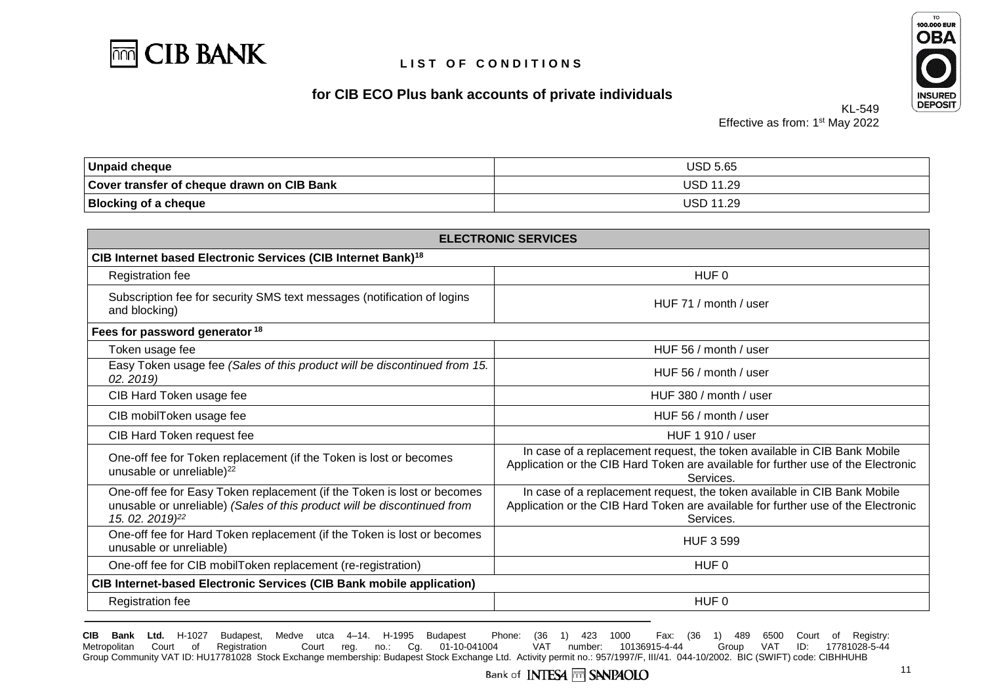





Effective as from: 1<sup>st</sup> May 2022

KL-549

| <b>Unpaid cheque</b>                       | <b>USD 5.65</b>  |
|--------------------------------------------|------------------|
| Cover transfer of cheque drawn on CIB Bank | <b>USD 11.29</b> |
| <b>Blocking of a cheque</b>                | <b>USD 11.29</b> |

| <b>ELECTRONIC SERVICES</b>                                                                                                                                                         |                                                                                                                                                                            |  |  |
|------------------------------------------------------------------------------------------------------------------------------------------------------------------------------------|----------------------------------------------------------------------------------------------------------------------------------------------------------------------------|--|--|
| CIB Internet based Electronic Services (CIB Internet Bank) <sup>18</sup>                                                                                                           |                                                                                                                                                                            |  |  |
| Registration fee                                                                                                                                                                   | HUF 0                                                                                                                                                                      |  |  |
| Subscription fee for security SMS text messages (notification of logins<br>and blocking)                                                                                           | HUF 71 / month / user                                                                                                                                                      |  |  |
| Fees for password generator <sup>18</sup>                                                                                                                                          |                                                                                                                                                                            |  |  |
| Token usage fee                                                                                                                                                                    | HUF 56 / month / user                                                                                                                                                      |  |  |
| Easy Token usage fee (Sales of this product will be discontinued from 15.<br>02.2019                                                                                               | HUF 56 / month / user                                                                                                                                                      |  |  |
| CIB Hard Token usage fee                                                                                                                                                           | HUF 380 / month / user                                                                                                                                                     |  |  |
| CIB mobilToken usage fee                                                                                                                                                           | HUF 56 / month / user                                                                                                                                                      |  |  |
| CIB Hard Token request fee                                                                                                                                                         | HUF 1 910 / user                                                                                                                                                           |  |  |
| One-off fee for Token replacement (if the Token is lost or becomes<br>unusable or unreliable) <sup>22</sup>                                                                        | In case of a replacement request, the token available in CIB Bank Mobile<br>Application or the CIB Hard Token are available for further use of the Electronic<br>Services. |  |  |
| One-off fee for Easy Token replacement (if the Token is lost or becomes<br>unusable or unreliable) (Sales of this product will be discontinued from<br>15. 02. 2019) <sup>22</sup> | In case of a replacement request, the token available in CIB Bank Mobile<br>Application or the CIB Hard Token are available for further use of the Electronic<br>Services. |  |  |
| One-off fee for Hard Token replacement (if the Token is lost or becomes<br>unusable or unreliable)                                                                                 | <b>HUF 3 599</b>                                                                                                                                                           |  |  |
| One-off fee for CIB mobilToken replacement (re-registration)                                                                                                                       | HUF 0                                                                                                                                                                      |  |  |
| <b>CIB Internet-based Electronic Services (CIB Bank mobile application)</b>                                                                                                        |                                                                                                                                                                            |  |  |
| Registration fee                                                                                                                                                                   | HUF 0                                                                                                                                                                      |  |  |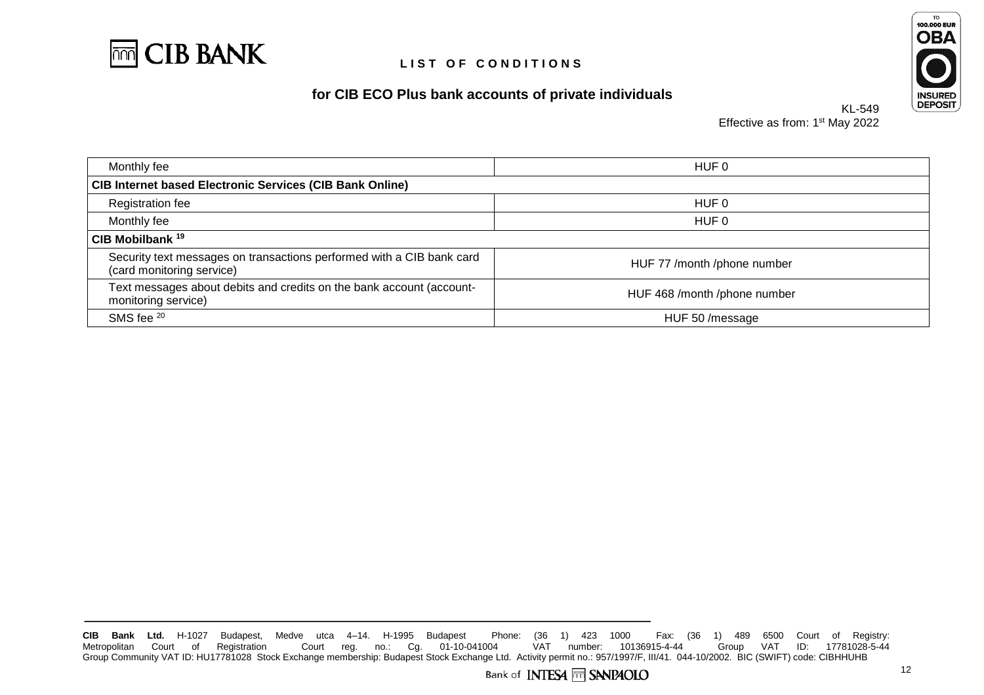





KL-549 Effective as from: 1<sup>st</sup> May 2022

| Monthly fee                                                                                        | HUF 0                        |
|----------------------------------------------------------------------------------------------------|------------------------------|
| <b>CIB Internet based Electronic Services (CIB Bank Online)</b>                                    |                              |
| <b>Registration fee</b>                                                                            | HUF 0                        |
| Monthly fee                                                                                        | HUF 0                        |
| CIB Mobilbank <sup>19</sup>                                                                        |                              |
| Security text messages on transactions performed with a CIB bank card<br>(card monitoring service) | HUF 77 /month /phone number  |
| Text messages about debits and credits on the bank account (account-<br>monitoring service)        | HUF 468 /month /phone number |
| SMS fee 20                                                                                         | HUF 50 /message              |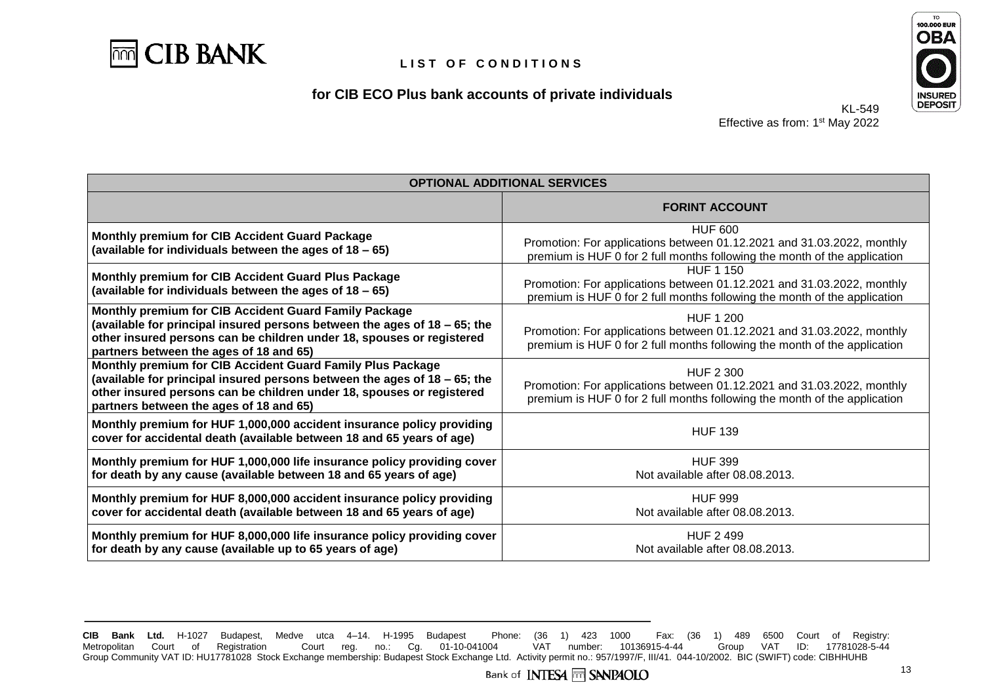

### **for CIB ECO Plus bank accounts of private individuals**



KL-549 Effective as from: 1<sup>st</sup> May 2022

| <b>OPTIONAL ADDITIONAL SERVICES</b>                                                                                                                                                                                                                         |                                                                                                                                                                         |  |  |
|-------------------------------------------------------------------------------------------------------------------------------------------------------------------------------------------------------------------------------------------------------------|-------------------------------------------------------------------------------------------------------------------------------------------------------------------------|--|--|
|                                                                                                                                                                                                                                                             | <b>FORINT ACCOUNT</b>                                                                                                                                                   |  |  |
| Monthly premium for CIB Accident Guard Package<br>(available for individuals between the ages of $18 - 65$ )                                                                                                                                                | <b>HUF 600</b><br>Promotion: For applications between 01.12.2021 and 31.03.2022, monthly<br>premium is HUF 0 for 2 full months following the month of the application   |  |  |
| Monthly premium for CIB Accident Guard Plus Package<br>(available for individuals between the ages of 18 - 65)                                                                                                                                              | <b>HUF 1 150</b><br>Promotion: For applications between 01.12.2021 and 31.03.2022, monthly<br>premium is HUF 0 for 2 full months following the month of the application |  |  |
| Monthly premium for CIB Accident Guard Family Package<br>(available for principal insured persons between the ages of 18 - 65; the<br>other insured persons can be children under 18, spouses or registered<br>partners between the ages of 18 and 65)      | <b>HUF 1 200</b><br>Promotion: For applications between 01.12.2021 and 31.03.2022, monthly<br>premium is HUF 0 for 2 full months following the month of the application |  |  |
| Monthly premium for CIB Accident Guard Family Plus Package<br>(available for principal insured persons between the ages of 18 - 65; the<br>other insured persons can be children under 18, spouses or registered<br>partners between the ages of 18 and 65) | HUF 2 300<br>Promotion: For applications between 01.12.2021 and 31.03.2022, monthly<br>premium is HUF 0 for 2 full months following the month of the application        |  |  |
| Monthly premium for HUF 1,000,000 accident insurance policy providing<br>cover for accidental death (available between 18 and 65 years of age)                                                                                                              | <b>HUF 139</b>                                                                                                                                                          |  |  |
| Monthly premium for HUF 1,000,000 life insurance policy providing cover<br>for death by any cause (available between 18 and 65 years of age)                                                                                                                | <b>HUF 399</b><br>Not available after 08.08.2013.                                                                                                                       |  |  |
| Monthly premium for HUF 8,000,000 accident insurance policy providing<br>cover for accidental death (available between 18 and 65 years of age)                                                                                                              | <b>HUF 999</b><br>Not available after 08.08.2013.                                                                                                                       |  |  |
| Monthly premium for HUF 8,000,000 life insurance policy providing cover<br>for death by any cause (available up to 65 years of age)                                                                                                                         | <b>HUF 2 499</b><br>Not available after 08.08.2013.                                                                                                                     |  |  |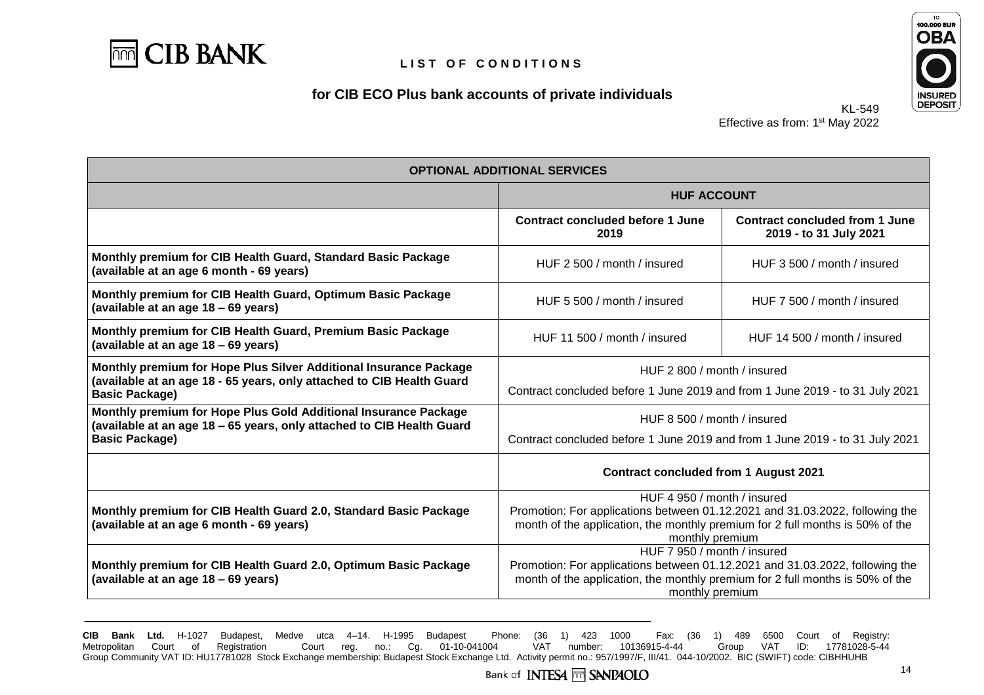

# **for CIB ECO Plus bank accounts of private individuals**



KL-549 Effective as from: 1<sup>st</sup> May 2022

| <b>OPTIONAL ADDITIONAL SERVICES</b>                                                                                                                                 |                                                                                                                                                                                                                 |  |  |  |
|---------------------------------------------------------------------------------------------------------------------------------------------------------------------|-----------------------------------------------------------------------------------------------------------------------------------------------------------------------------------------------------------------|--|--|--|
|                                                                                                                                                                     | <b>HUF ACCOUNT</b>                                                                                                                                                                                              |  |  |  |
|                                                                                                                                                                     | <b>Contract concluded before 1 June</b><br><b>Contract concluded from 1 June</b><br>2019 - to 31 July 2021<br>2019                                                                                              |  |  |  |
| Monthly premium for CIB Health Guard, Standard Basic Package<br>(available at an age 6 month - 69 years)                                                            | HUF 2 500 / month / insured<br>HUF 3 500 / month / insured                                                                                                                                                      |  |  |  |
| Monthly premium for CIB Health Guard, Optimum Basic Package<br>(available at an age 18 - 69 years)                                                                  | HUF 7 500 / month / insured<br>HUF 5 500 / month / insured                                                                                                                                                      |  |  |  |
| Monthly premium for CIB Health Guard, Premium Basic Package<br>(available at an age 18 - 69 years)                                                                  | HUF 11 500 / month / insured<br>HUF 14 500 / month / insured                                                                                                                                                    |  |  |  |
| Monthly premium for Hope Plus Silver Additional Insurance Package<br>(available at an age 18 - 65 years, only attached to CIB Health Guard<br><b>Basic Package)</b> | HUF 2 800 / month / insured<br>Contract concluded before 1 June 2019 and from 1 June 2019 - to 31 July 2021                                                                                                     |  |  |  |
| Monthly premium for Hope Plus Gold Additional Insurance Package<br>(available at an age 18 - 65 years, only attached to CIB Health Guard<br><b>Basic Package)</b>   | HUF 8.500 / month / insured<br>Contract concluded before 1 June 2019 and from 1 June 2019 - to 31 July 2021                                                                                                     |  |  |  |
|                                                                                                                                                                     | <b>Contract concluded from 1 August 2021</b>                                                                                                                                                                    |  |  |  |
| Monthly premium for CIB Health Guard 2.0, Standard Basic Package<br>(available at an age 6 month - 69 years)                                                        | HUF 4 950 / month / insured<br>Promotion: For applications between 01.12.2021 and 31.03.2022, following the<br>month of the application, the monthly premium for 2 full months is 50% of the<br>monthly premium |  |  |  |
| Monthly premium for CIB Health Guard 2.0, Optimum Basic Package<br>(available at an age 18 - 69 years)                                                              | HUF 7 950 / month / insured<br>Promotion: For applications between 01.12.2021 and 31.03.2022, following the<br>month of the application, the monthly premium for 2 full months is 50% of the<br>monthly premium |  |  |  |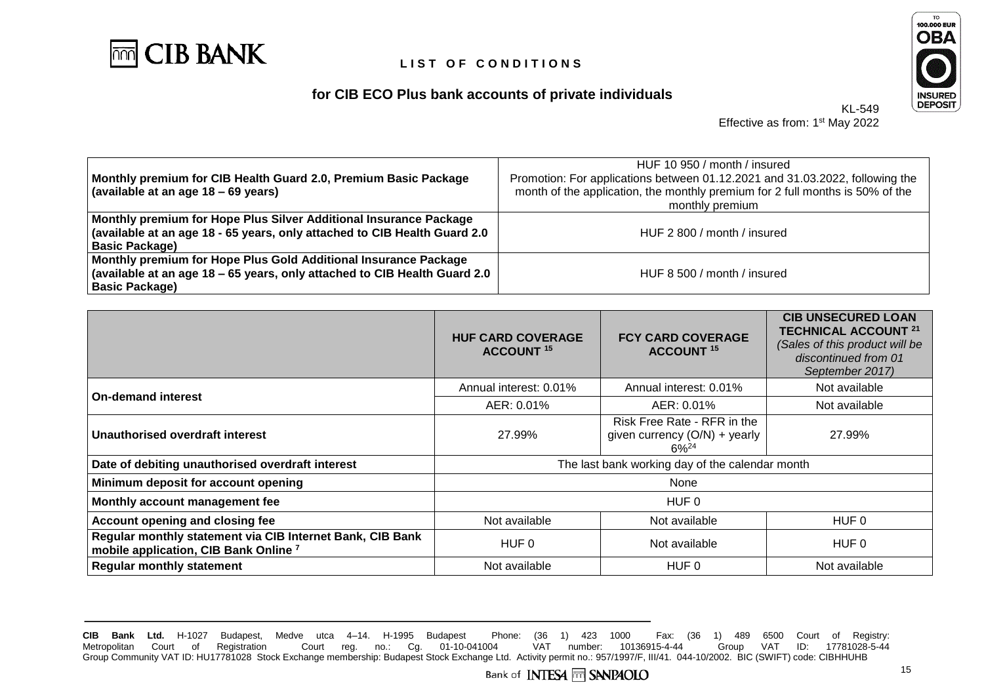

# **for CIB ECO Plus bank accounts of private individuals**



Effective as from: 1<sup>st</sup> May 2022

KL-549

| Monthly premium for CIB Health Guard 2.0, Premium Basic Package<br>(available at an age 18 – 69 years)                                                                        | HUF 10 950 / month / insured<br>Promotion: For applications between 01.12.2021 and 31.03.2022, following the<br>month of the application, the monthly premium for 2 full months is 50% of the<br>monthly premium |
|-------------------------------------------------------------------------------------------------------------------------------------------------------------------------------|------------------------------------------------------------------------------------------------------------------------------------------------------------------------------------------------------------------|
| Monthly premium for Hope Plus Silver Additional Insurance Package<br>(available at an age 18 - 65 years, only attached to CIB Health Guard 2.0<br><b>Basic Package)</b>       | HUF 2 800 / month / insured                                                                                                                                                                                      |
| Monthly premium for Hope Plus Gold Additional Insurance Package<br>$\vert$ (available at an age 18 – 65 years, only attached to CIB Health Guard 2.0<br><b>Basic Package)</b> | HUF 8 500 / month / insured                                                                                                                                                                                      |

|                                                                                                               | <b>HUF CARD COVERAGE</b><br><b>ACCOUNT 15</b>   | <b>FCY CARD COVERAGE</b><br><b>ACCOUNT 15</b>                                | <b>CIB UNSECURED LOAN</b><br><b>TECHNICAL ACCOUNT 21</b><br>(Sales of this product will be<br>discontinued from 01<br>September 2017) |
|---------------------------------------------------------------------------------------------------------------|-------------------------------------------------|------------------------------------------------------------------------------|---------------------------------------------------------------------------------------------------------------------------------------|
| <b>On-demand interest</b>                                                                                     | Annual interest: 0.01%                          | Annual interest: 0.01%                                                       | Not available                                                                                                                         |
|                                                                                                               | AER: 0.01%                                      | AER: 0.01%                                                                   | Not available                                                                                                                         |
| Unauthorised overdraft interest                                                                               | 27.99%                                          | Risk Free Rate - RFR in the<br>given currency $(O/N)$ + yearly<br>$6\%^{24}$ | 27.99%                                                                                                                                |
| Date of debiting unauthorised overdraft interest                                                              | The last bank working day of the calendar month |                                                                              |                                                                                                                                       |
| Minimum deposit for account opening                                                                           | None                                            |                                                                              |                                                                                                                                       |
| Monthly account management fee                                                                                | HUF 0                                           |                                                                              |                                                                                                                                       |
| Account opening and closing fee                                                                               | Not available                                   | Not available                                                                | HUF 0                                                                                                                                 |
| Regular monthly statement via CIB Internet Bank, CIB Bank<br>mobile application, CIB Bank Online <sup>7</sup> | HUF 0                                           | Not available                                                                | HUF 0                                                                                                                                 |
| <b>Regular monthly statement</b>                                                                              | Not available                                   | HUF 0                                                                        | Not available                                                                                                                         |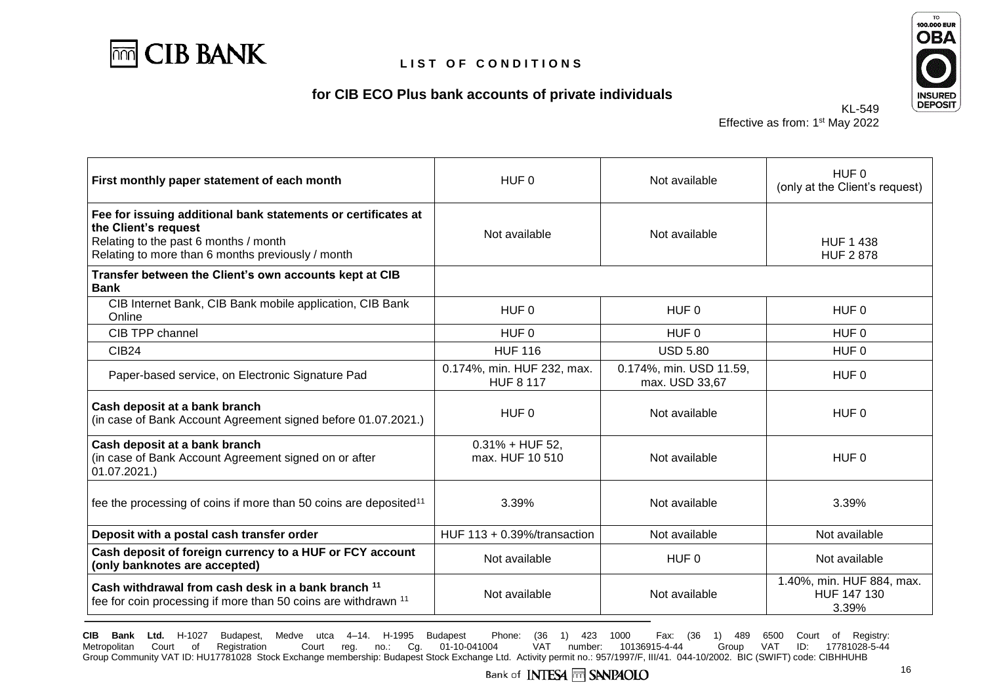





KL-549 Effective as from: 1<sup>st</sup> May 2022

| First monthly paper statement of each month                                                                                                                                         | HUF 0                                          | Not available                             | HUF <sub>0</sub><br>(only at the Client's request) |
|-------------------------------------------------------------------------------------------------------------------------------------------------------------------------------------|------------------------------------------------|-------------------------------------------|----------------------------------------------------|
| Fee for issuing additional bank statements or certificates at<br>the Client's request<br>Relating to the past 6 months / month<br>Relating to more than 6 months previously / month | Not available                                  | Not available                             | <b>HUF 1 438</b><br><b>HUF 2 878</b>               |
| Transfer between the Client's own accounts kept at CIB<br><b>Bank</b>                                                                                                               |                                                |                                           |                                                    |
| CIB Internet Bank, CIB Bank mobile application, CIB Bank<br>Online                                                                                                                  | HUF <sub>0</sub>                               | HUF 0                                     | HUF 0                                              |
| CIB TPP channel                                                                                                                                                                     | HUF <sub>0</sub>                               | HUF 0                                     | HUF <sub>0</sub>                                   |
| <b>CIB24</b>                                                                                                                                                                        | <b>HUF 116</b>                                 | <b>USD 5.80</b>                           | HUF <sub>0</sub>                                   |
| Paper-based service, on Electronic Signature Pad                                                                                                                                    | 0.174%, min. HUF 232, max.<br><b>HUF 8 117</b> | 0.174%, min. USD 11.59,<br>max. USD 33,67 | HUF 0                                              |
| Cash deposit at a bank branch<br>(in case of Bank Account Agreement signed before 01.07.2021.)                                                                                      | HUF <sub>0</sub>                               | Not available                             | HUF <sub>0</sub>                                   |
| Cash deposit at a bank branch<br>(in case of Bank Account Agreement signed on or after<br>01.07.2021.                                                                               | $0.31\% + HUF 52,$<br>max. HUF 10 510          | Not available                             | HUF <sub>0</sub>                                   |
| fee the processing of coins if more than 50 coins are deposited <sup>11</sup>                                                                                                       | 3.39%                                          | Not available                             | 3.39%                                              |
| Deposit with a postal cash transfer order                                                                                                                                           | HUF 113 + 0.39%/transaction                    | Not available                             | Not available                                      |
| Cash deposit of foreign currency to a HUF or FCY account<br>(only banknotes are accepted)                                                                                           | Not available                                  | HUF 0                                     | Not available                                      |
| Cash withdrawal from cash desk in a bank branch <sup>11</sup><br>fee for coin processing if more than 50 coins are withdrawn <sup>11</sup>                                          | Not available                                  | Not available                             | 1.40%, min. HUF 884, max.<br>HUF 147 130<br>3.39%  |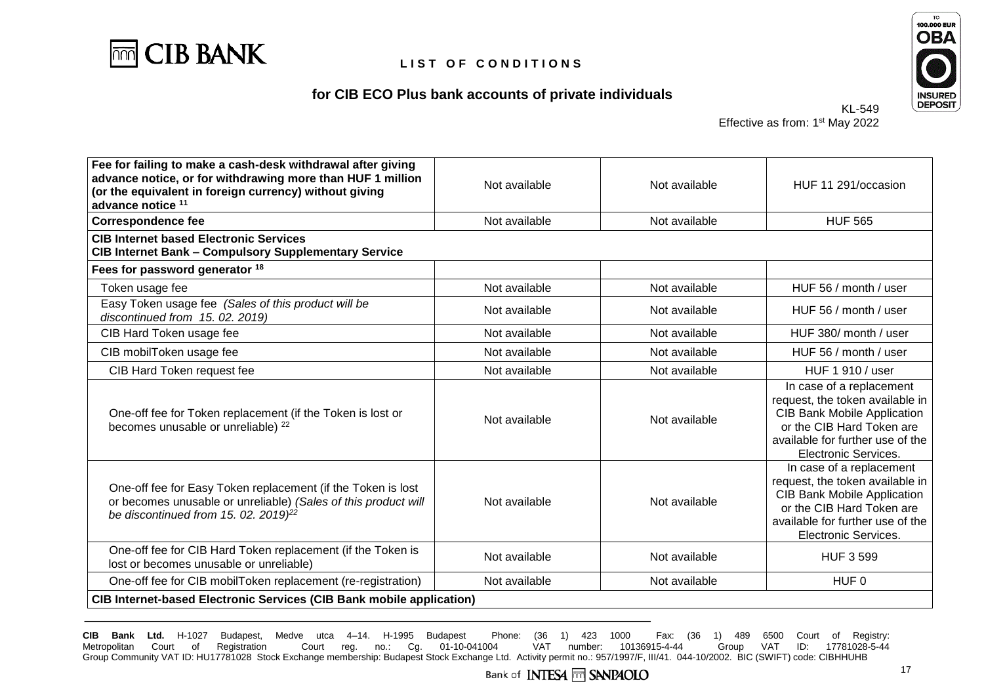

# **for CIB ECO Plus bank accounts of private individuals**



KL-549 Effective as from: 1<sup>st</sup> May 2022

| Fee for failing to make a cash-desk withdrawal after giving<br>advance notice, or for withdrawing more than HUF 1 million<br>(or the equivalent in foreign currency) without giving<br>advance notice 11 | Not available | Not available | HUF 11 291/occasion                                                                                                                                                                        |
|----------------------------------------------------------------------------------------------------------------------------------------------------------------------------------------------------------|---------------|---------------|--------------------------------------------------------------------------------------------------------------------------------------------------------------------------------------------|
| <b>Correspondence fee</b>                                                                                                                                                                                | Not available | Not available | <b>HUF 565</b>                                                                                                                                                                             |
| <b>CIB Internet based Electronic Services</b><br><b>CIB Internet Bank - Compulsory Supplementary Service</b>                                                                                             |               |               |                                                                                                                                                                                            |
| Fees for password generator 18                                                                                                                                                                           |               |               |                                                                                                                                                                                            |
| Token usage fee                                                                                                                                                                                          | Not available | Not available | HUF 56 / month / user                                                                                                                                                                      |
| Easy Token usage fee (Sales of this product will be<br>discontinued from 15.02.2019)                                                                                                                     | Not available | Not available | HUF 56 / month / user                                                                                                                                                                      |
| CIB Hard Token usage fee                                                                                                                                                                                 | Not available | Not available | HUF 380/ month / user                                                                                                                                                                      |
| CIB mobilToken usage fee                                                                                                                                                                                 | Not available | Not available | HUF 56 / month / user                                                                                                                                                                      |
| CIB Hard Token request fee                                                                                                                                                                               | Not available | Not available | HUF 1 910 / user                                                                                                                                                                           |
| One-off fee for Token replacement (if the Token is lost or<br>becomes unusable or unreliable) <sup>22</sup>                                                                                              | Not available | Not available | In case of a replacement<br>request, the token available in<br><b>CIB Bank Mobile Application</b><br>or the CIB Hard Token are<br>available for further use of the<br>Electronic Services. |
| One-off fee for Easy Token replacement (if the Token is lost<br>or becomes unusable or unreliable) (Sales of this product will<br>be discontinued from 15. 02. 2019) <sup>22</sup>                       | Not available | Not available | In case of a replacement<br>request, the token available in<br><b>CIB Bank Mobile Application</b><br>or the CIB Hard Token are<br>available for further use of the<br>Electronic Services. |
| One-off fee for CIB Hard Token replacement (if the Token is<br>lost or becomes unusable or unreliable)                                                                                                   | Not available | Not available | <b>HUF 3 599</b>                                                                                                                                                                           |
| One-off fee for CIB mobilToken replacement (re-registration)                                                                                                                                             | Not available | Not available | HUF 0                                                                                                                                                                                      |
| <b>CIB Internet-based Electronic Services (CIB Bank mobile application)</b>                                                                                                                              |               |               |                                                                                                                                                                                            |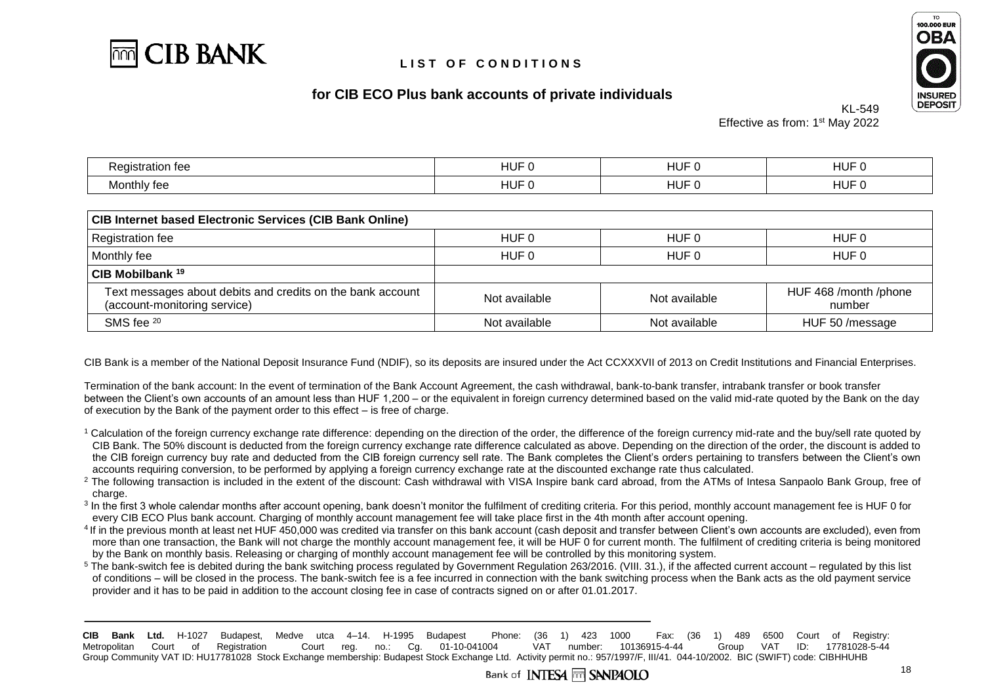



## **for CIB ECO Plus bank accounts of private individuals**

KL-549 Effective as from: 1<sup>st</sup> May 2022

| atior<br>10<br>199<br>`~ | ا ب<br>. .      | பட<br>. .<br>пu. | பபட<br>пu.<br><b>.</b> |
|--------------------------|-----------------|------------------|------------------------|
| Monthly fee              | .<br>ا ب<br>. . | <b>HUF</b>       | படப<br>пu.<br>ı        |

| <b>CIB Internet based Electronic Services (CIB Bank Online)</b>                            |                |               |                                 |  |  |  |
|--------------------------------------------------------------------------------------------|----------------|---------------|---------------------------------|--|--|--|
| Registration fee                                                                           | HUF 0          | HUF 0         | HUF 0                           |  |  |  |
| Monthly fee                                                                                | HUF 0<br>HUF 0 |               | HUF 0                           |  |  |  |
| CIB Mobilbank <sup>19</sup>                                                                |                |               |                                 |  |  |  |
| Text messages about debits and credits on the bank account<br>(account-monitoring service) | Not available  | Not available | HUF 468 /month /phone<br>number |  |  |  |
| SMS fee 20                                                                                 | Not available  | Not available | HUF 50 / message                |  |  |  |

CIB Bank is a member of the National Deposit Insurance Fund (NDIF), so its deposits are insured under the Act CCXXXVII of 2013 on Credit Institutions and Financial Enterprises.

Termination of the bank account: In the event of termination of the Bank Account Agreement, the cash withdrawal, bank-to-bank transfer, intrabank transfer or book transfer between the Client's own accounts of an amount less than HUF 1,200 – or the equivalent in foreign currency determined based on the valid mid-rate quoted by the Bank on the day of execution by the Bank of the payment order to this effect – is free of charge.

- $1$  Calculation of the foreign currency exchange rate difference: depending on the direction of the order, the difference of the foreign currency mid-rate and the buy/sell rate quoted by CIB Bank. The 50% discount is deducted from the foreign currency exchange rate difference calculated as above. Depending on the direction of the order, the discount is added to the CIB foreign currency buy rate and deducted from the CIB foreign currency sell rate. The Bank completes the Client's orders pertaining to transfers between the Client's own accounts requiring conversion, to be performed by applying a foreign currency exchange rate at the discounted exchange rate thus calculated.
- <sup>2</sup> The following transaction is included in the extent of the discount: Cash withdrawal with VISA Inspire bank card abroad, from the ATMs of Intesa Sanpaolo Bank Group, free of charge.
- <sup>3</sup> In the first 3 whole calendar months after account opening, bank doesn't monitor the fulfilment of crediting criteria. For this period, monthly account management fee is HUF 0 for every CIB ECO Plus bank account. Charging of monthly account management fee will take place first in the 4th month after account opening.
- <sup>4</sup> If in the previous month at least net HUF 450,000 was credited via transfer on this bank account (cash deposit and transfer between Client's own accounts are excluded), even from more than one transaction, the Bank will not charge the monthly account management fee, it will be HUF 0 for current month. The fulfilment of crediting criteria is being monitored by the Bank on monthly basis. Releasing or charging of monthly account management fee will be controlled by this monitoring system.

<sup>5</sup> The bank-switch fee is debited during the bank switching process regulated by Government Regulation 263/2016. (VIII. 31.), if the affected current account – regulated by this list of conditions – will be closed in the process. The bank-switch fee is a fee incurred in connection with the bank switching process when the Bank acts as the old payment service provider and it has to be paid in addition to the account closing fee in case of contracts signed on or after 01.01.2017.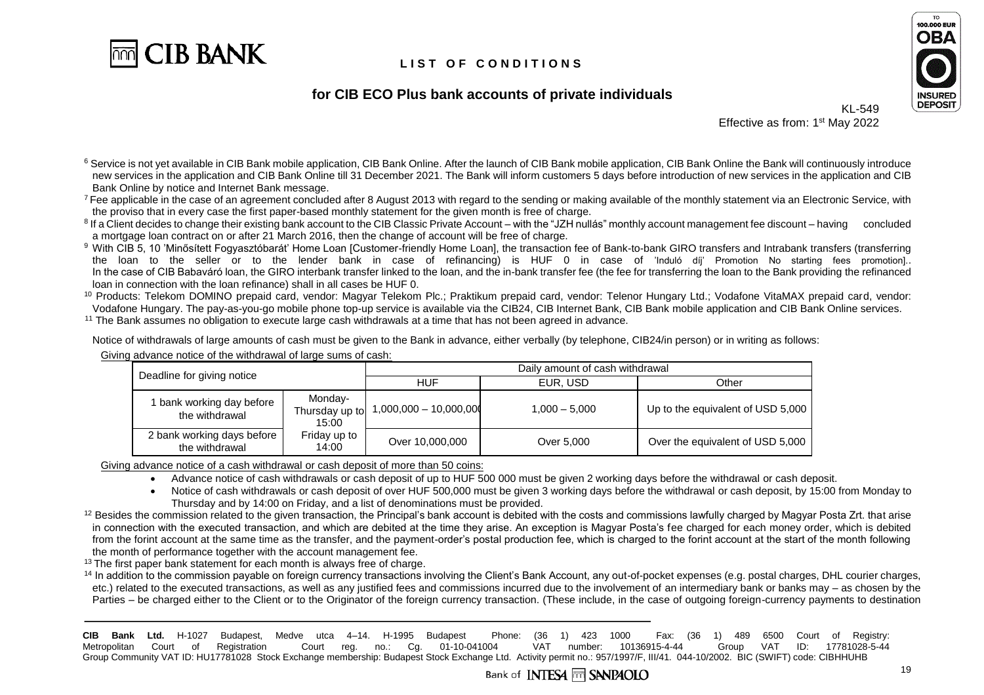



### **for CIB ECO Plus bank accounts of private individuals**

KI-549 Effective as from: 1<sup>st</sup> May 2022

<sup>6</sup> Service is not yet available in CIB Bank mobile application, CIB Bank Online. After the launch of CIB Bank mobile application, CIB Bank Online the Bank will continuously introduce new services in the application and CIB Bank Online till 31 December 2021. The Bank will inform customers 5 days before introduction of new services in the application and CIB Bank Online by notice and Internet Bank message.

<sup>7</sup> Fee applicable in the case of an agreement concluded after 8 August 2013 with regard to the sending or making available of the monthly statement via an Electronic Service, with the proviso that in every case the first paper-based monthly statement for the given month is free of charge.

<sup>8</sup> If a Client decides to change their existing bank account to the CIB Classic Private Account – with the "JZH nullás" monthly account management fee discount – having concluded a mortgage loan contract on or after 21 March 2016, then the change of account will be free of charge.

<sup>9</sup> With CIB 5, 10 'Minősített Fogyasztóbarát' Home Loan [Customer-friendly Home Loan], the transaction fee of Bank-to-bank GIRO transfers and Intrabank transfers (transferring the loan to the seller or to the lender bank in case of refinancing) is HUF 0 in case of 'Induló díj' Promotion No starting fees promotion].. In the case of CIB Babaváró loan, the GIRO interbank transfer linked to the loan, and the in-bank transfer fee (the fee for transferring the loan to the Bank providing the refinanced loan in connection with the loan refinance) shall in all cases be HUF 0.

<sup>10</sup> Products: Telekom DOMINO prepaid card, vendor: Magyar Telekom Plc.; Praktikum prepaid card, vendor: Telenor Hungary Ltd.; Vodafone VitaMAX prepaid card, vendor: Vodafone Hungary. The pay-as-you-go mobile phone top-up service is available via the CIB24, CIB Internet Bank, CIB Bank mobile application and CIB Bank Online services.

<sup>11</sup> The Bank assumes no obligation to execute large cash withdrawals at a time that has not been agreed in advance.

Notice of withdrawals of large amounts of cash must be given to the Bank in advance, either verbally (by telephone, CIB24/in person) or in writing as follows: Giving advance notice of the withdrawal of large sums of cash:

|  | Deadline for giving notice                                                        |                          | Daily amount of cash withdrawal |                                   |                                  |
|--|-----------------------------------------------------------------------------------|--------------------------|---------------------------------|-----------------------------------|----------------------------------|
|  |                                                                                   |                          | <b>HUF</b>                      | EUR. USD                          | Other                            |
|  | Monday-<br>1 bank working day before<br>Thursday up to<br>the withdrawal<br>15:00 | $1,000,000 - 10,000,000$ | $1.000 - 5.000$                 | Up to the equivalent of USD 5,000 |                                  |
|  | 2 bank working days before<br>the withdrawal                                      | Friday up to<br>14:00    | Over 10,000,000                 | Over 5,000                        | Over the equivalent of USD 5,000 |

Giving advance notice of a cash withdrawal or cash deposit of more than 50 coins:

• Advance notice of cash withdrawals or cash deposit of up to HUF 500 000 must be given 2 working days before the withdrawal or cash deposit.

• Notice of cash withdrawals or cash deposit of over HUF 500,000 must be given 3 working days before the withdrawal or cash deposit, by 15:00 from Monday to Thursday and by 14:00 on Friday, and a list of denominations must be provided.

 $12$  Besides the commission related to the given transaction, the Principal's bank account is debited with the costs and commissions lawfully charged by Magyar Posta Zrt. that arise in connection with the executed transaction, and which are debited at the time they arise. An exception is Magyar Posta's fee charged for each money order, which is debited from the forint account at the same time as the transfer, and the payment-order's postal production fee, which is charged to the forint account at the start of the month following the month of performance together with the account management fee.

 $13$  The first paper bank statement for each month is always free of charge.

<sup>14</sup> In addition to the commission payable on foreign currency transactions involving the Client's Bank Account, any out-of-pocket expenses (e.g. postal charges, DHL courier charges, etc.) related to the executed transactions, as well as any justified fees and commissions incurred due to the involvement of an intermediary bank or banks may – as chosen by the Parties – be charged either to the Client or to the Originator of the foreign currency transaction. (These include, in the case of outgoing foreign-currency payments to destination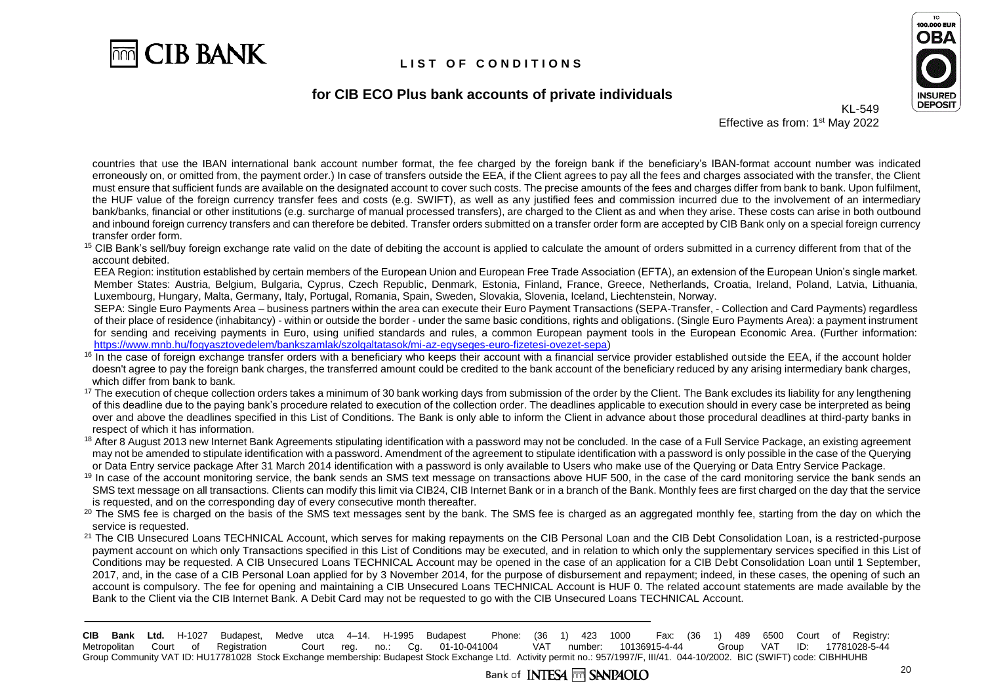

### **for CIB ECO Plus bank accounts of private individuals**



Effective as from: 1<sup>st</sup> May 2022

KL-549

countries that use the IBAN international bank account number format, the fee charged by the foreign bank if the beneficiary's IBAN-format account number was indicated erroneously on, or omitted from, the payment order.) In case of transfers outside the EEA, if the Client agrees to pay all the fees and charges associated with the transfer, the Client must ensure that sufficient funds are available on the designated account to cover such costs. The precise amounts of the fees and charges differ from bank to bank. Upon fulfilment, the HUF value of the foreign currency transfer fees and costs (e.g. SWIFT), as well as any justified fees and commission incurred due to the involvement of an intermediary bank/banks, financial or other institutions (e.g. surcharge of manual processed transfers), are charged to the Client as and when they arise. These costs can arise in both outbound and inbound foreign currency transfers and can therefore be debited. Transfer orders submitted on a transfer order form are accepted by CIB Bank only on a special foreign currency transfer order form.

<sup>15</sup> CIB Bank's sell/buy foreign exchange rate valid on the date of debiting the account is applied to calculate the amount of orders submitted in a currency different from that of the account debited.

EEA Region: institution established by certain members of the European Union and European Free Trade Association (EFTA), an extension of the European Union's single market. Member States: Austria, Belgium, Bulgaria, Cyprus, Czech Republic, Denmark, Estonia, Finland, France, Greece, Netherlands, Croatia, Ireland, Poland, Latvia, Lithuania, Luxembourg, Hungary, Malta, Germany, Italy, Portugal, Romania, Spain, Sweden, Slovakia, Slovenia, Iceland, Liechtenstein, Norway.

SEPA: Single Euro Payments Area – business partners within the area can execute their Euro Payment Transactions (SEPA-Transfer, - Collection and Card Payments) regardless of their place of residence (inhabitancy) - within or outside the border - under the same basic conditions, rights and obligations. (Single Euro Payments Area): a payment instrument for sending and receiving payments in Euro, using unified standards and rules, a common European payment tools in the European Economic Area. (Further information: [https://www.mnb.hu/fogyasztovedelem/bankszamlak/szolgaltatasok/mi-az-egyseges-euro-fizetesi-ovezet-sepa\)](https://www.mnb.hu/fogyasztovedelem/bankszamlak/szolgaltatasok/mi-az-egyseges-euro-fizetesi-ovezet-sepa)

- $16$  In the case of foreign exchange transfer orders with a beneficiary who keeps their account with a financial service provider established outside the EEA, if the account holder doesn't agree to pay the foreign bank charges, the transferred amount could be credited to the bank account of the beneficiary reduced by any arising intermediary bank charges, which differ from bank to bank.
- $17$  The execution of cheque collection orders takes a minimum of 30 bank working days from submission of the order by the Client. The Bank excludes its liability for any lengthening of this deadline due to the paying bank's procedure related to execution of the collection order. The deadlines applicable to execution should in every case be interpreted as being over and above the deadlines specified in this List of Conditions. The Bank is only able to inform the Client in advance about those procedural deadlines at third-party banks in respect of which it has information.
- <sup>18</sup> After 8 August 2013 new Internet Bank Agreements stipulating identification with a password may not be concluded. In the case of a Full Service Package, an existing agreement may not be amended to stipulate identification with a password. Amendment of the agreement to stipulate identification with a password is only possible in the case of the Querying or Data Entry service package After 31 March 2014 identification with a password is only available to Users who make use of the Querying or Data Entry Service Package.
- <sup>19</sup> In case of the account monitoring service, the bank sends an SMS text message on transactions above HUF 500, in the case of the card monitoring service the bank sends an SMS text message on all transactions. Clients can modify this limit via CIB24, CIB Internet Bank or in a branch of the Bank. Monthly fees are first charged on the day that the service is requested, and on the corresponding day of every consecutive month thereafter.
- <sup>20</sup> The SMS fee is charged on the basis of the SMS text messages sent by the bank. The SMS fee is charged as an aggregated monthly fee, starting from the day on which the service is requested.
- <sup>21</sup> The CIB Unsecured Loans TECHNICAL Account, which serves for making repayments on the CIB Personal Loan and the CIB Debt Consolidation Loan, is a restricted-purpose payment account on which only Transactions specified in this List of Conditions may be executed, and in relation to which only the supplementary services specified in this List of Conditions may be requested. A CIB Unsecured Loans TECHNICAL Account may be opened in the case of an application for a CIB Debt Consolidation Loan until 1 September, 2017, and, in the case of a CIB Personal Loan applied for by 3 November 2014, for the purpose of disbursement and repayment; indeed, in these cases, the opening of such an account is compulsory. The fee for opening and maintaining a CIB Unsecured Loans TECHNICAL Account is HUF 0. The related account statements are made available by the Bank to the Client via the CIB Internet Bank. A Debit Card may not be requested to go with the CIB Unsecured Loans TECHNICAL Account.